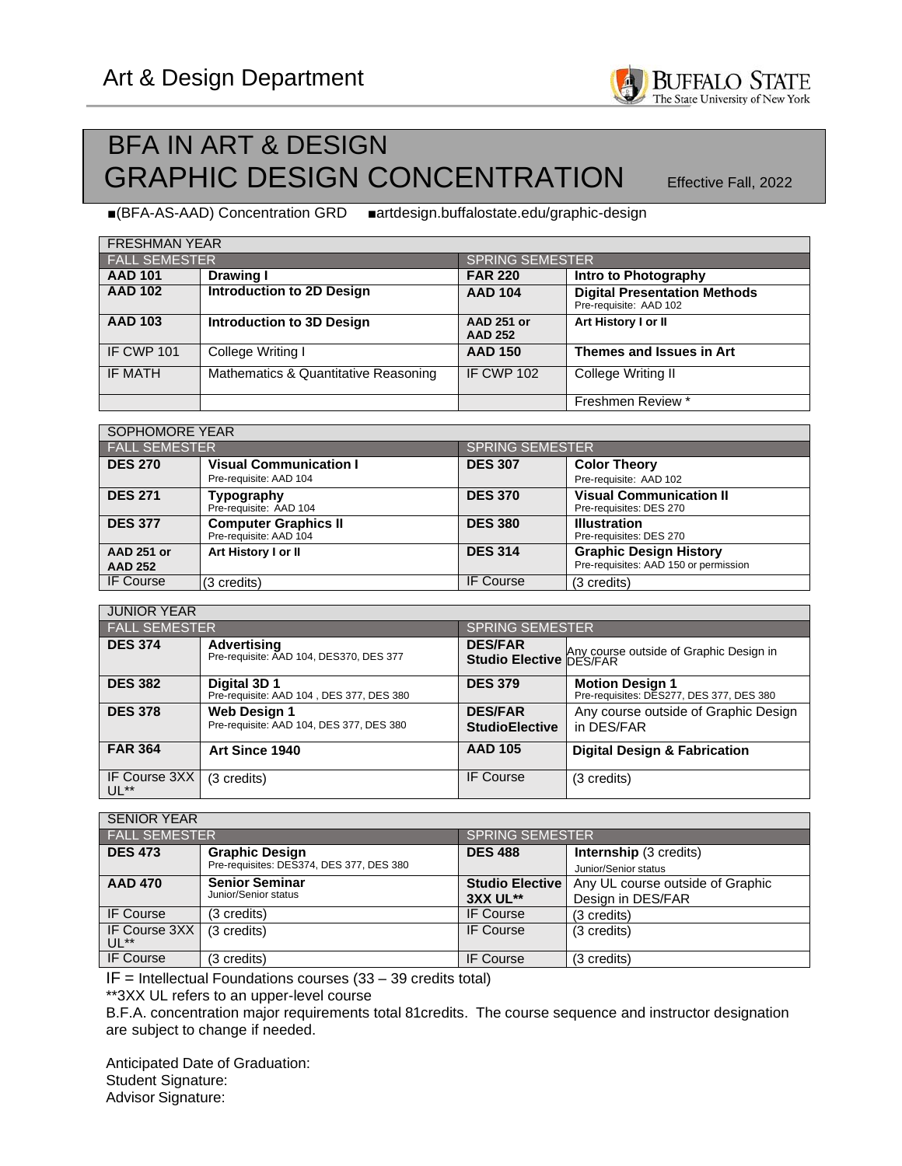## BFA IN ART & DESIGN GRAPHIC DESIGN CONCENTRATION **Effective Fall**, 2022

■(BFA-AS-AAD) Concentration GRD ■artdesign.buffalostate.edu/graphic-design

| <b>FRESHMAN YEAR</b> |                                      |                                     |                                                               |  |  |
|----------------------|--------------------------------------|-------------------------------------|---------------------------------------------------------------|--|--|
| <b>FALL SEMESTER</b> |                                      | <b>SPRING SEMESTER</b>              |                                                               |  |  |
| <b>AAD 101</b>       | <b>Drawing I</b>                     | <b>FAR 220</b>                      | <b>Intro to Photography</b>                                   |  |  |
| <b>AAD 102</b>       | <b>Introduction to 2D Design</b>     | <b>AAD 104</b>                      | <b>Digital Presentation Methods</b><br>Pre-requisite: AAD 102 |  |  |
| <b>AAD 103</b>       | <b>Introduction to 3D Design</b>     | <b>AAD 251 or</b><br><b>AAD 252</b> | Art History I or II                                           |  |  |
| <b>IF CWP 101</b>    | College Writing I                    | <b>AAD 150</b>                      | Themes and Issues in Art                                      |  |  |
| IF MATH              | Mathematics & Quantitative Reasoning | <b>IF CWP 102</b>                   | College Writing II                                            |  |  |
|                      |                                      |                                     | Freshmen Review *                                             |  |  |

| SOPHOMORE YEAR       |                                                         |                 |                                                           |  |  |
|----------------------|---------------------------------------------------------|-----------------|-----------------------------------------------------------|--|--|
| <b>FALL SEMESTER</b> |                                                         | SPRING SEMESTER |                                                           |  |  |
| <b>DES 270</b>       | <b>Visual Communication I</b><br>Pre-requisite: AAD 104 | <b>DES 307</b>  | <b>Color Theory</b><br>Pre-requisite: AAD 102             |  |  |
| <b>DES 271</b>       | Typography<br>Pre-requisite: AAD 104                    | <b>DES 370</b>  | <b>Visual Communication II</b><br>Pre-requisites: DES 270 |  |  |
| <b>DES 377</b>       | <b>Computer Graphics II</b><br>Pre-requisite: AAD 104   | <b>DES 380</b>  | <b>Illustration</b><br>Pre-requisites: DES 270            |  |  |
| <b>AAD 251 or</b>    | Art History I or II                                     | <b>DES 314</b>  | <b>Graphic Design History</b>                             |  |  |
| <b>AAD 252</b>       |                                                         |                 | Pre-requisites: AAD 150 or permission                     |  |  |
| <b>IF Course</b>     | (3 credits)                                             | IF Course       | (3 credits)                                               |  |  |

| <b>JUNIOR YEAR</b>      |                                                                 |                                         |                                                                    |  |
|-------------------------|-----------------------------------------------------------------|-----------------------------------------|--------------------------------------------------------------------|--|
| <b>FALL SEMESTER</b>    |                                                                 | <b>SPRING SEMESTER</b>                  |                                                                    |  |
| <b>DES 374</b>          | <b>Advertising</b><br>Pre-requisite: AAD 104, DES370, DES 377   | <b>DES/FAR</b>                          | Studio Elective Any course outside of Graphic Design in            |  |
| <b>DES 382</b>          | Digital 3D 1<br>Pre-requisite: AAD 104, DES 377, DES 380        | <b>DES 379</b>                          | <b>Motion Design 1</b><br>Pre-requisites: DES277, DES 377, DES 380 |  |
| <b>DES 378</b>          | <b>Web Design 1</b><br>Pre-requisite: AAD 104, DES 377, DES 380 | <b>DES/FAR</b><br><b>StudioElective</b> | Any course outside of Graphic Design<br>in DES/FAR                 |  |
| <b>FAR 364</b>          | Art Since 1940                                                  | <b>AAD 105</b>                          | <b>Digital Design &amp; Fabrication</b>                            |  |
| IF Course 3XX<br>$UL**$ | (3 credits)                                                     | <b>IF Course</b>                        | (3 credits)                                                        |  |

| <b>SENIOR YEAR</b>   |                                          |                        |                                  |  |  |
|----------------------|------------------------------------------|------------------------|----------------------------------|--|--|
| <b>FALL SEMESTER</b> |                                          | <b>SPRING SEMESTER</b> |                                  |  |  |
| <b>DES 473</b>       | <b>Graphic Design</b>                    | <b>DES 488</b>         | <b>Internship</b> (3 credits)    |  |  |
|                      | Pre-requisites: DES374, DES 377, DES 380 |                        | Junior/Senior status             |  |  |
| <b>AAD 470</b>       | <b>Senior Seminar</b>                    | <b>Studio Elective</b> | Any UL course outside of Graphic |  |  |
|                      | Junior/Senior status                     | 3XX UL**               | Design in DES/FAR                |  |  |
| <b>IF Course</b>     | (3 credits)                              | IF Course              | (3 credits)                      |  |  |
| <b>IF Course 3XX</b> | (3 credits)                              | <b>IF Course</b>       | (3 credits)                      |  |  |
| $UL**$               |                                          |                        |                                  |  |  |
| <b>IF Course</b>     | (3 credits)                              | <b>IF Course</b>       | (3 credits)                      |  |  |

 $IF = Intellectual Foundations courses (33 - 39 credits total)$ 

\*\*3XX UL refers to an upper-level course

B.F.A. concentration major requirements total 81credits. The course sequence and instructor designation are subject to change if needed.

Anticipated Date of Graduation: Student Signature: Advisor Signature: